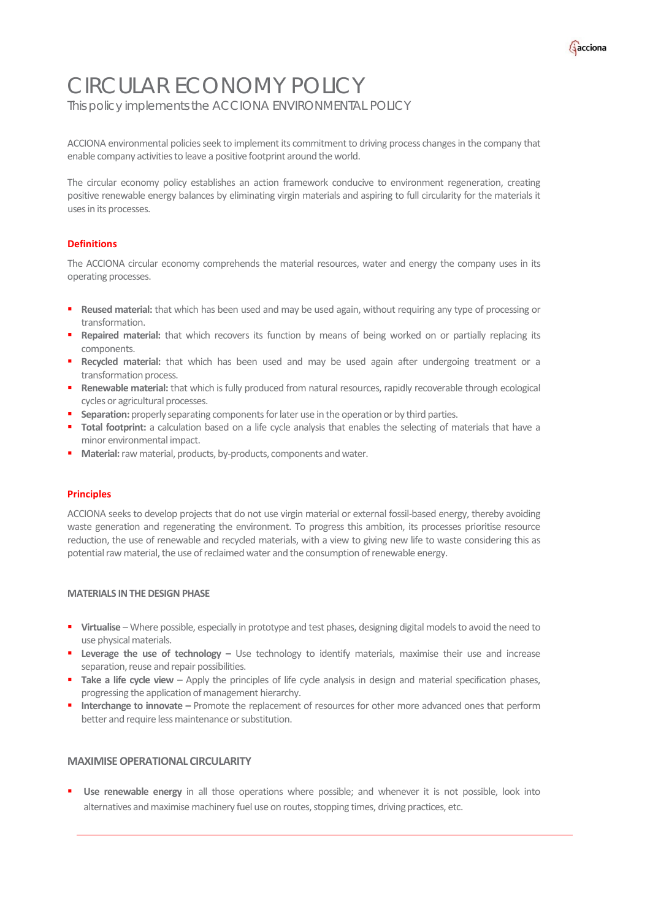

# CIRCULAR ECONOMY POLICY

This policy implements the ACCIONA ENVIRONMENTAL POLICY

ACCIONA environmental policies seek to implement its commitment to driving process changes in the company that enable company activities to leave a positive footprint around the world.

The circular economy policy establishes an action framework conducive to environment regeneration, creating positive renewable energy balances by eliminating virgin materials and aspiring to full circularity for the materials it uses in its processes.

# **Definitions**

The ACCIONA circular economy comprehends the material resources, water and energy the company uses in its operating processes.

- **Reused material:** that which has been used and may be used again, without requiring any type of processing or transformation.
- **Repaired material:** that which recovers its function by means of being worked on or partially replacing its components.
- **Recycled material:** that which has been used and may be used again after undergoing treatment or a transformation process.
- **Renewable material:** that which is fully produced from natural resources, rapidly recoverable through ecological cycles or agricultural processes.
- **Separation:** properly separating components for later use in the operation or by third parties.
- **Total footprint:** a calculation based on a life cycle analysis that enables the selecting of materials that have a minor environmental impact.
- **Material:**rawmaterial, products, by-products, components andwater.

### **Principles**

ACCIONA seeks to develop projects that do not use virgin material or external fossil-based energy, thereby avoiding waste generation and regenerating the environment. To progress this ambition, its processes prioritise resource reduction, the use of renewable and recycled materials, with a view to giving new life to waste considering this as potential raw material, the use of reclaimed water and the consumption of renewable energy.

### **MATERIALS INTHE DESIGN PHASE**

- **Virtualise** Where possible, especially in prototype and test phases, designing digital models to avoid the need to use physical materials.
- **Leverage the use of technology –** Use technology to identify materials, maximise their use and increase separation, reuse and repair possibilities.
- **Take a life cycle view** Apply the principles of life cycle analysis in design and material specification phases, progressing the application of management hierarchy.
- **Interchange to innovate –** Promote the replacement of resources for other more advanced ones that perform better and require less maintenance or substitution.

# **MAXIMISEOPERATIONALCIRCULARITY**

 **Use renewable energy** in all those operations where possible; and whenever it is not possible, look into alternatives and maximise machinery fuel use on routes, stopping times, driving practices, etc.